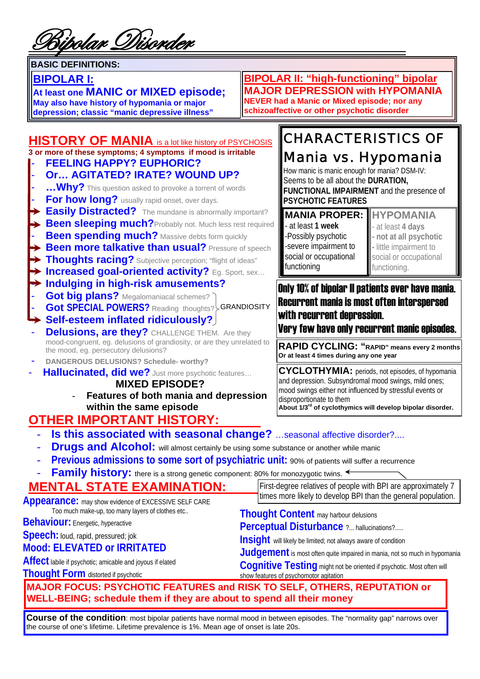8ipolar Disord*e*r

#### **BASIC DEFINITIONS:**

#### **BIPOLAR I:**

**At least one MANIC or MIXED episode;**

**May also have history of hypomania or major depression; classic "manic depressive illness"** 

**BIPOLAR II: "high-functioning" bipolar MAJOR DEPRESSION with HYPOMANIA NEVER had a Manic or Mixed episode; nor any schizoaffective or other psychotic disorder** 

#### **HISTORY OF MANIA** is a lot like history of PSYCHOSIS **3 or more of these symptoms; 4 symptoms if mood is irritable** - **FEELING HAPPY? EUPHORIC?**

#### - **Or… AGITATED? IRATE? WOUND UP?**

- ... Why? This question asked to provoke a torrent of words
- **For how long?** usually rapid onset, over days.
- **Easily Distracted?** The mundane is abnormally important?
- ► **Been sleeping much?**Probably not. Much less rest required
- **Been spending much?** Massive debts form quickly
- **Been more talkative than usual?** Pressure of speech
- **Thoughts racing?** Subjective perception; "flight of ideas"
- **► Increased goal-oriented activity?** Eq. Sport, sex...
- **Indulging in high-risk amusements?**
- **Got big plans?** Megalomaniacal schemes?
- **Got SPECIAL POWERS?** Reading thoughts? **GRANDIOSITY**
- **Self-esteem inflated ridiculously?**

**Delusions, are they?** CHALLENGE THEM. Are they mood-congruent, eg. delusions of grandiosity, or are they unrelated to the mood, eg. persecutory delusions?

- **DANGEROUS DELUSIONS? Schedule- worthy?**
- Hallucinated, did we? Just more psychotic features...

#### **MIXED EPISODE?**

- **Features of both mania and depression within the same episode** 

### **OTHER IMPORTANT HISTORY:**

#### **Is this associated with seasonal change?** ...seasonal affective disorder?....

- **Drugs and Alcohol:** will almost certainly be using some substance or another while manic
- **Previous admissions to some sort of psychiatric unit: 90% of patients will suffer a recurrence**
- **Family history:** there is a strong genetic component: 80% for monozygotic twins. ←

| <b>MENTAL STATE EXAMINATION:</b>                                                                                                                                                                                                                                                                                                                                                                                                                                                                                                                                                                                    | First-degree relatives of people with BPI are approximately 7                                                                                                                                                                                                                                                                                                                    |  |
|---------------------------------------------------------------------------------------------------------------------------------------------------------------------------------------------------------------------------------------------------------------------------------------------------------------------------------------------------------------------------------------------------------------------------------------------------------------------------------------------------------------------------------------------------------------------------------------------------------------------|----------------------------------------------------------------------------------------------------------------------------------------------------------------------------------------------------------------------------------------------------------------------------------------------------------------------------------------------------------------------------------|--|
| Appearance: may show evidence of EXCESSIVE SELF CARE<br>Too much make-up, too many layers of clothes etc<br><b>Behaviour:</b> Energetic, hyperactive<br>Speech: loud, rapid, pressured; jok<br><b>Mood: ELEVATED or IRRITATED</b><br>Affect labile if psychotic; amicable and joyous if elated                                                                                                                                                                                                                                                                                                                      | times more likely to develop BPI than the general population.<br><b>Thought Content may harbour delusions</b><br>Perceptual Disturbance ? hallucinations?<br>Insight will likely be limited; not always aware of condition<br>Judgement is most often quite impaired in mania, not so much in hypomania<br>Cognitive Testing might not be oriented if psychotic. Most often will |  |
| <b>Thought Form distorted if psychotic</b><br>MAJOR FOCUS: PSYCHOTIC FEATURES and RISK TO SELF, OTHERS, REPUTATION or<br>$\blacksquare$ $\blacksquare$ $\blacksquare$ $\blacksquare$ $\blacksquare$ $\blacksquare$ $\blacksquare$ $\blacksquare$ $\blacksquare$ $\blacksquare$ $\blacksquare$ $\blacksquare$ $\blacksquare$ $\blacksquare$ $\blacksquare$ $\blacksquare$ $\blacksquare$ $\blacksquare$ $\blacksquare$ $\blacksquare$ $\blacksquare$ $\blacksquare$ $\blacksquare$ $\blacksquare$ $\blacksquare$ $\blacksquare$ $\blacksquare$ $\blacksquare$ $\blacksquare$ $\blacksquare$ $\blacksquare$ $\blacks$ | show features of psychomotor agitation                                                                                                                                                                                                                                                                                                                                           |  |

**WELL-BEING; schedule them if they are about to spend all their money** 

**Course of the condition**: most bipolar patients have normal mood in between episodes. The "normality gap" narrows over the course of one's lifetime. Lifetime prevalence is 1%. Mean age of onset is late 20s.

# CHARACTERISTICS OF

### Mania vs. Hypomania

How manic is manic enough for mania? DSM-IV: Seems to be all about the **DURATION, FUNCTIONAL IMPAIRMENT** and the presence of **PSYCHOTIC FEATURES**

- at least **1 week**  -Possibly psychotic -severe impairment to social or occupational functioning

**MANIA PROPER: HYPOMANIA**  - at least **4 days - not at all psychotic -** little impairment to social or occupational functioning.

#### Only 10% of bipolar II patients ever have mania. Recurrent mania is most often interspersed with recurrent depression.

Very few have only recurrent manic episodes.

**RAPID CYCLING: "RAPID" means every 2 months Or at least 4 times during any one year** 

**CYCLOTHYMIA:** periods, not episodes, of hypomania and depression. Subsyndromal mood swings, mild ones; mood swings either not influenced by stressful events or disproportionate to them **About 1/3rd of cyclothymics will develop bipolar disorder.**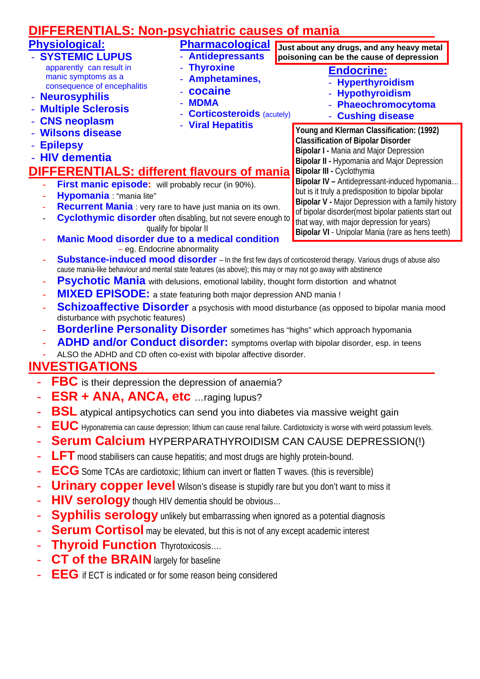### **DIFFERENTIALS: Non-psychiatric causes of mania**

- **Thyroxine** 

- **cocaine** - **MDMA** 

- **Amphetamines,** 

- **Viral Hepatitis** 

- **Corticosteroids** (acutely)

#### **Physiological:**

- **SYSTEMIC LUPUS**  apparently can result in manic symptoms as a consequence of encephalitis
- **Neurosyphilis**
- **Multiple Sclerosis**
- **CNS neoplasm**
- **Wilsons disease**
- **Epilepsy**
- **HIV dementia**

### **DIFFERENTIALS: different flavours of mania**

- **First manic episode:** will probably recur (in 90%).
- **Hypomania** "mania lite"
- **Recurrent Mania** : very rare to have just mania on its own.
- **Cyclothymic disorder** often disabling, but not severe enough to qualify for bipolar II
- **Manic Mood disorder due to a medical condition** – eg. Endocrine abnormality
- **Pharmacological** - **Antidepressants Just about any drugs, and any heavy metal poisoning can be the cause of depression** 
	- - **Endocrine:** - **Hyperthyroidism**
		- **Hypothyroidism**
		- **Phaeochromocytoma**
		- **Cushing disease**

**Young and Klerman Classification: (1992) Classification of Bipolar Disorder Bipolar I -** Mania and Major Depression **Bipolar II -** Hypomania and Major Depression **Bipolar III -** Cyclothymia

**Bipolar IV –** Antidepressant-induced hypomania… but is it truly a predisposition to bipolar bipolar **Bipolar V -** Major Depression with a family history of bipolar disorder(most bipolar patients start out that way, with major depression for years) **Bipolar VI** - Unipolar Mania (rare as hens teeth)

- **Substance-induced mood disorder** In the first few days of corticosteroid therapy. Various drugs of abuse also cause mania-like behaviour and mental state features (as above); this may or may not go away with abstinence
- **Psychotic Mania** with delusions, emotional lability, thought form distortion and whatnot
- **MIXED EPISODE:** a state featuring both major depression AND mania !
- **Schizoaffective Disorder** a psychosis with mood disturbance (as opposed to bipolar mania mood disturbance with psychotic features)
- **Borderline Personality Disorder** sometimes has "highs" which approach hypomania
- ADHD and/or Conduct disorder: symptoms overlap with bipolar disorder, esp. in teens
- ALSO the ADHD and CD often co-exist with bipolar affective disorder.

#### **INVESTIGATIONS**

- **FBC** is their depression the depression of anaemia?
- **ESR + ANA, ANCA, etc** …raging lupus?
- **BSL** atypical antipsychotics can send you into diabetes via massive weight gain
- **EUC** Hyponatremia can cause depression; lithium can cause renal failure. Cardiotoxicity is worse with weird potassium levels.
- **Serum Calcium** HYPERPARATHYROIDISM CAN CAUSE DEPRESSION(!)
- **LFT** mood stabilisers can cause hepatitis; and most drugs are highly protein-bound.
- **ECG** Some TCAs are cardiotoxic; lithium can invert or flatten T waves. (this is reversible)
- **Urinary copper level** Wilson's disease is stupidly rare but you don't want to miss it
- **HIV serology** though HIV dementia should be obvious…
- **Syphilis serology** unlikely but embarrassing when ignored as a potential diagnosis
- **Serum Cortisol** may be elevated, but this is not of any except academic interest
- **Thyroid Function Thyrotoxicosis....**
- **CT of the BRAIN** largely for baseline
- **EEG** if ECT is indicated or for some reason being considered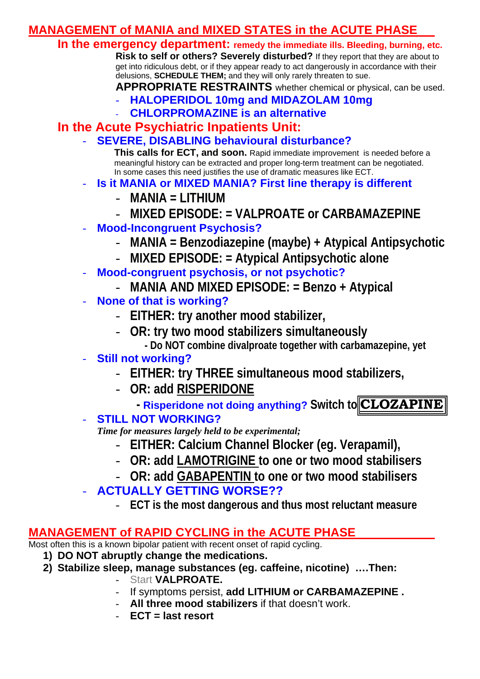#### **MANAGEMENT of MANIA and MIXED STATES in the ACUTE PHASE**

**In the emergency department: remedy the immediate ills. Bleeding, burning, etc.**

 **Risk to self or others? Severely disturbed?** If they report that they are about to get into ridiculous debt, or if they appear ready to act dangerously in accordance with their delusions, **SCHEDULE THEM;** and they will only rarely threaten to sue.

**APPROPRIATE RESTRAINTS** whether chemical or physical, can be used.

- **HALOPERIDOL 10mg and MIDAZOLAM 10mg**
- **CHLORPROMAZINE is an alternative**

#### **In the Acute Psychiatric Inpatients Unit:**

- **SEVERE, DISABLING behavioural disturbance?** 

**This calls for ECT, and soon.** Rapid immediate improvement is needed before a meaningful history can be extracted and proper long-term treatment can be negotiated. In some cases this need justifies the use of dramatic measures like ECT.

- **Is it MANIA or MIXED MANIA? First line therapy is different** 
	- **MANIA = LITHIUM**
	- **MIXED EPISODE: = VALPROATE or CARBAMAZEPINE**
- **Mood-Incongruent Psychosis?** 
	- **MANIA = Benzodiazepine (maybe) + Atypical Antipsychotic**
	- **MIXED EPISODE: = Atypical Antipsychotic alone**
- **Mood-congruent psychosis, or not psychotic?** 
	- **MANIA AND MIXED EPISODE: = Benzo + Atypical**
- **None of that is working?** 
	- **EITHER: try another mood stabilizer,**
	- **OR: try two mood stabilizers simultaneously** 
		- **Do NOT combine divalproate together with carbamazepine, yet**

#### - **Still not working?**

- **EITHER: try THREE simultaneous mood stabilizers,**
- **OR: add RISPERIDONE**

*Risperidone not doing anything? Switch to CLOZAPINE* 

- **STILL NOT WORKING?** 

*Time for measures largely held to be experimental;* 

- **EITHER: Calcium Channel Blocker (eg. Verapamil),**
- **OR: add LAMOTRIGINE to one or two mood stabilisers**
- **OR: add GABAPENTIN to one or two mood stabilisers**

#### - **ACTUALLY GETTING WORSE??**

- **ECT is the most dangerous and thus most reluctant measure** 

#### **MANAGEMENT of RAPID CYCLING in the ACUTE PHASE**

Most often this is a known bipolar patient with recent onset of rapid cycling.

- **1) DO NOT abruptly change the medications.**
- **2) Stabilize sleep, manage substances (eg. caffeine, nicotine) ….Then:** 
	- Start **VALPROATE.**
	- If symptoms persist, **add LITHIUM or CARBAMAZEPINE .**
	- All three mood stabilizers if that doesn't work.
	- **ECT = last resort**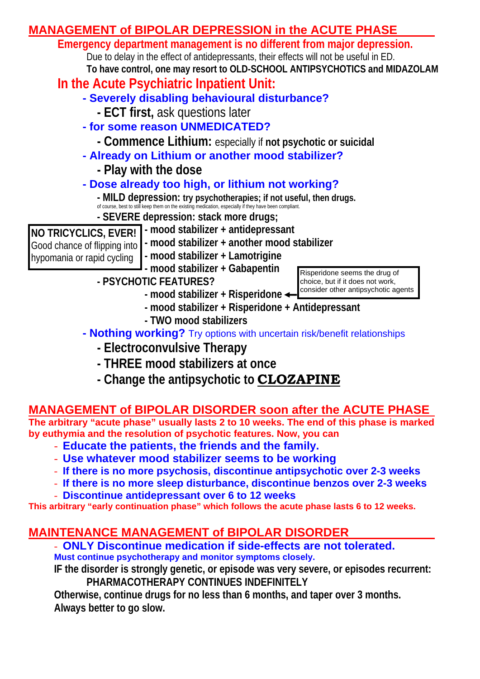

**- Change the antipsychotic to CLOZAPINE**

#### **MANAGEMENT of BIPOLAR DISORDER soon after the ACUTE PHASE**

**The arbitrary "acute phase" usually lasts 2 to 10 weeks. The end of this phase is marked by euthymia and the resolution of psychotic features. Now, you can** 

- **Educate the patients, the friends and the family.**
- **Use whatever mood stabilizer seems to be working**
- **If there is no more psychosis, discontinue antipsychotic over 2-3 weeks**
- **If there is no more sleep disturbance, discontinue benzos over 2-3 weeks**
- **Discontinue antidepressant over 6 to 12 weeks**

**This arbitrary "early continuation phase" which follows the acute phase lasts 6 to 12 weeks.** 

### **MAINTENANCE MANAGEMENT of BIPOLAR DISORDER**

- **ONLY Discontinue medication if side-effects are not tolerated. Must continue psychotherapy and monitor symptoms closely.**

**IF the disorder is strongly genetic, or episode was very severe, or episodes recurrent: PHARMACOTHERAPY CONTINUES INDEFINITELY** 

**Otherwise, continue drugs for no less than 6 months, and taper over 3 months. Always better to go slow.**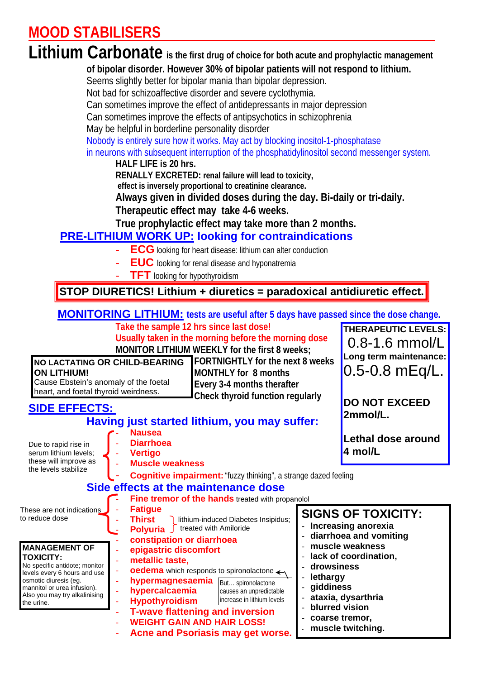### **MOOD STABILISERS**

### Lithium Carbonate is the first drug of choice for both acute and prophylactic management

**of bipolar disorder. However 30% of bipolar patients will not respond to lithium.** 

Seems slightly better for bipolar mania than bipolar depression.

Not bad for schizoaffective disorder and severe cyclothymia.

Can sometimes improve the effect of antidepressants in major depression

Can sometimes improve the effects of antipsychotics in schizophrenia

May be helpful in borderline personality disorder

Nobody is entirely sure how it works. May act by blocking inositol-1-phosphatase

in neurons with subsequent interruption of the phosphatidylinositol second messenger system.

**HALF LIFE is 20 hrs.** 

 **RENALLY EXCRETED: renal failure will lead to toxicity,** 

 **effect is inversely proportional to creatinine clearance.** 

**Always given in divided doses during the day. Bi-daily or tri-daily.**

**Therapeutic effect may take 4-6 weeks.** 

**True prophylactic effect may take more than 2 months.** 

#### **PRE-LITHIUM WORK UP: looking for contraindications**

- **ECG** looking for heart disease: lithium can alter conduction
- **EUC** looking for renal disease and hyponatremia
- **TFT** looking for hypothyroidism

#### **STOP DIURETICS! Lithium + diuretics = paradoxical antidiuretic effect.**

#### **MONITORING LITHIUM: tests are useful after 5 days have passed since the dose change.**

 **Take the sample 12 hrs since last dose!** 

**Usually taken in the morning before the morning dose MONITOR LITHIUM WEEKLY for the first 8 weeks;** 

**NO LACTATING OR CHILD-BEARING ON LITHIUM!**  Cause Ebstein's anomaly of the foetal heart, and foetal thyroid weirdness.

 **FORTNIGHTLY for the next 8 weeks MONTHLY for 8 months Every 3-4 months therafter Check thyroid function regularly** 

**THERAPEUTIC LEVELS:** 0.8-1.6 mmol/L **Long term maintenance:** 0.5-0.8 mEq/L.

**DO NOT EXCEED** 

#### **SIDE EFFECTS:**

| SIDE EFFECTS:                                                                                                                                                                                                    |                                                                                                                                                                                                                                                                                                 | 2mmol/L.                                                                                                                |
|------------------------------------------------------------------------------------------------------------------------------------------------------------------------------------------------------------------|-------------------------------------------------------------------------------------------------------------------------------------------------------------------------------------------------------------------------------------------------------------------------------------------------|-------------------------------------------------------------------------------------------------------------------------|
|                                                                                                                                                                                                                  | Having just started lithium, you may suffer:                                                                                                                                                                                                                                                    |                                                                                                                         |
| Due to rapid rise in<br>serum lithium levels;<br>these will improve as<br>the levels stabilize                                                                                                                   | <b>Nausea</b><br><b>Diarrhoea</b><br><b>Vertigo</b><br><b>Muscle weakness</b><br><b>Cognitive impairment:</b> "fuzzy thinking", a strange dazed feeling                                                                                                                                         | Lethal dose around<br>4 mol/L                                                                                           |
|                                                                                                                                                                                                                  | Side effects at the maintenance dose                                                                                                                                                                                                                                                            |                                                                                                                         |
| These are not indications<br>to reduce dose                                                                                                                                                                      | <b>Fine tremor of the hands treated with propanolol</b><br><b>Fatigue</b><br>Thirst<br>lithium-induced Diabetes Insipidus;<br>treated with Amiloride<br>Polyuria<br>constipation or diarrhoea                                                                                                   | <b>SIGNS OF TOXICITY:</b><br>Increasing anorexia<br>diarrhoea and vomiting                                              |
| <b>MANAGEMENT OF</b><br><b>TOXICITY:</b><br>No specific antidote; monitor<br>levels every 6 hours and use<br>osmotic diuresis (eg.<br>mannitol or urea infusion).<br>Also you may try alkalinising<br>the urine. | epigastric discomfort<br>metallic taste,<br><b>oedema</b> which responds to spironolactone $\leftarrow$<br>hypermagnesaemia<br>But spironolactone<br>hypercalcaemia<br>causes an unpredictable<br>increase in lithium levels<br><b>Hypothyroidism</b><br><b>T-wave flattening and inversion</b> | muscle weakness<br>lack of coordination,<br>drowsiness<br>lethargy<br>giddiness<br>ataxia, dysarthria<br>blurred vision |
|                                                                                                                                                                                                                  | <b>WEIGHT GAIN AND HAIR LOSS!</b><br>Agno and Poeriacio mou got wares                                                                                                                                                                                                                           | coarse tremor,<br>muscle twitching.                                                                                     |

- **Acne and Psoriasis may get worse.**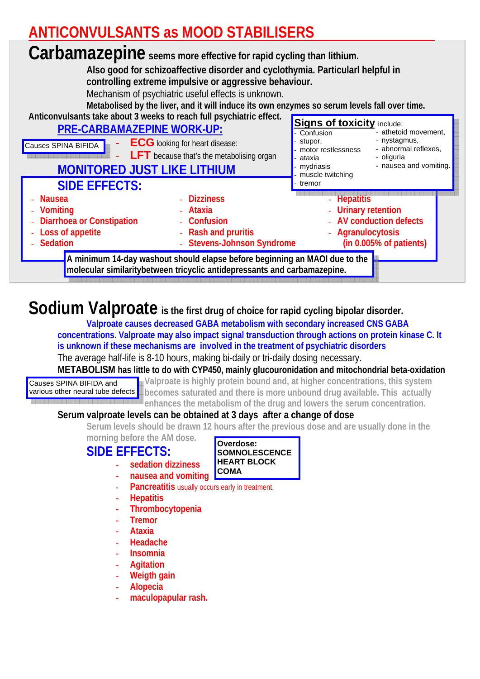### **ANTICONVULSANTS as MOOD STABILISERS**

#### **Carbamazepine seems more effective for rapid cycling than lithium. Also good for schizoaffective disorder and cyclothymia. Particularl helpful in controlling extreme impulsive or aggressive behaviour.**  Mechanism of psychiatric useful effects is unknown. **Metabolised by the liver, and it will induce its own enzymes so serum levels fall over time. Anticonvulsants take about 3 weeks to reach full psychiatric effect. PRE-CARBAMAZEPINE WORK-UP:** - **ECG** looking for heart disease: **LFT** because that's the metabolising organ **MONITORED JUST LIKE LITHIUM SIDE EFFECTS:** - **Nausea** - **Vomiting** - **Diarrhoea or Constipation** - **Loss of appetite** - **Sedation** - **Dizziness** - **Ataxia** - **Confusion** - **Rash and pruritis** - **Stevens-Johnson Syndrome** - **Hepatitis** - **Urinary retention** - **AV conduction defects** - **Agranulocytosis (in 0.005% of patients)** Causes SPINA BIFIDA **Signs of toxicity** include: - Confusion stupor, motor restlessness ataxia - mydriasis muscle twitching tremor - athetoid movement, - nystagmus, - abnormal reflexes, - oliguria - nausea and vomiting. **A minimum 14-day washout should elapse before beginning an MAOI due to the molecular similaritybetween tricyclic antidepressants and carbamazepine.**

### **Sodium Valproate is the first drug of choice for rapid cycling bipolar disorder.**

**Valproate causes decreased GABA metabolism with secondary increased CNS GABA concentrations. Valproate may also impact signal transduction through actions on protein kinase C. It is unknown if these mechanisms are involved in the treatment of psychiatric disorders**  The average half-life is 8-10 hours, making bi-daily or tri-daily dosing necessary. **METABOLISM has little to do with CYP450, mainly glucouronidation and mitochondrial beta-oxidation** 

Causes SPINA BIFIDA and

**Valproate is highly protein bound and, at higher concentrations, this system**  various other neural tube defects **b** becomes saturated and there is more unbound drug available. This actually **enhances the metabolism of the drug and lowers the serum concentration.** 

#### **Serum valproate levels can be obtained at 3 days after a change of dose**

**Serum levels should be drawn 12 hours after the previous dose and are usually done in the** 

**SOMNOLESCENCE HEART BLOCK** 

**Overdose:** 

**COMA** 

**morning before the AM dose.** 

#### **SIDE EFFECTS:**

- **sedation dizziness**
- **nausea and vomiting**
- Pancreatitis usually occurs early in treatment.
- **Hepatitis**
- **Thrombocytopenia**
- **Tremor**
- **Ataxia**
- **Headache**
- **Insomnia**
- **Agitation**
- **Weigth gain**
- **Alopecia**
- **maculopapular rash.**